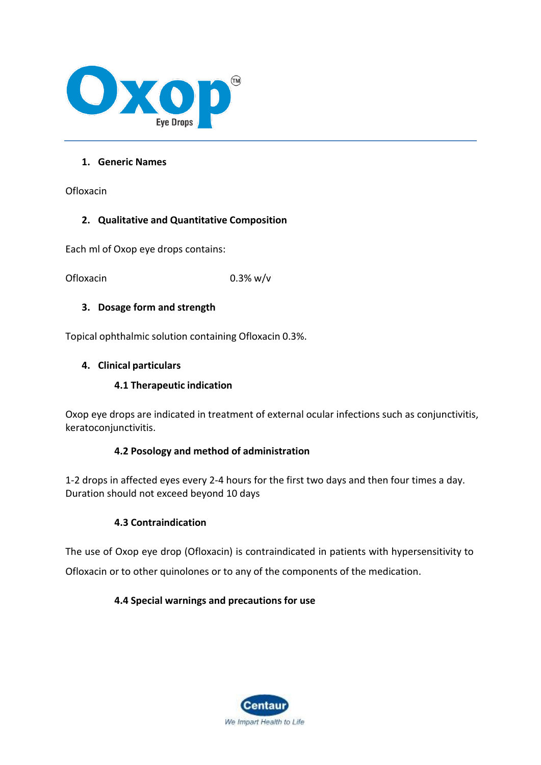

### **1. Generic Names**

Ofloxacin

### **2. Qualitative and Quantitative Composition**

Each ml of Oxop eye drops contains:

Ofloxacin 0.3% w/v

### **3. Dosage form and strength**

Topical ophthalmic solution containing Ofloxacin 0.3%.

### **4. Clinical particulars**

### **4.1 Therapeutic indication**

Oxop eye drops are indicated in treatment of external ocular infections such as conjunctivitis, keratoconjunctivitis.

### **4.2 Posology and method of administration**

1-2 drops in affected eyes every 2-4 hours for the first two days and then four times a day. Duration should not exceed beyond 10 days

### **4.3 Contraindication**

The use of Oxop eye drop (Ofloxacin) is contraindicated in patients with hypersensitivity to Ofloxacin or to other quinolones or to any of the components of the medication.

### **4.4 Special warnings and precautions for use**

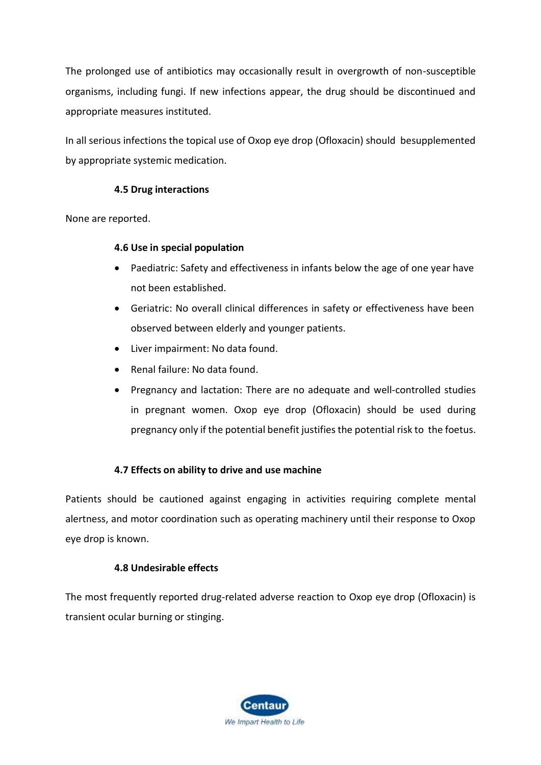The prolonged use of antibiotics may occasionally result in overgrowth of non-susceptible organisms, including fungi. If new infections appear, the drug should be discontinued and appropriate measures instituted.

In all serious infections the topical use of Oxop eye drop (Ofloxacin) should besupplemented by appropriate systemic medication.

### **4.5 Drug interactions**

None are reported.

### **4.6 Use in special population**

- Paediatric: Safety and effectiveness in infants below the age of one year have not been established.
- Geriatric: No overall clinical differences in safety or effectiveness have been observed between elderly and younger patients.
- Liver impairment: No data found.
- Renal failure: No data found.
- Pregnancy and lactation: There are no adequate and well-controlled studies in pregnant women. Oxop eye drop (Ofloxacin) should be used during pregnancy only if the potential benefit justifiesthe potential risk to the foetus.

### **4.7 Effects on ability to drive and use machine**

Patients should be cautioned against engaging in activities requiring complete mental alertness, and motor coordination such as operating machinery until their response to Oxop eye drop is known.

### **4.8 Undesirable effects**

The most frequently reported drug-related adverse reaction to Oxop eye drop (Ofloxacin) is transient ocular burning or stinging.

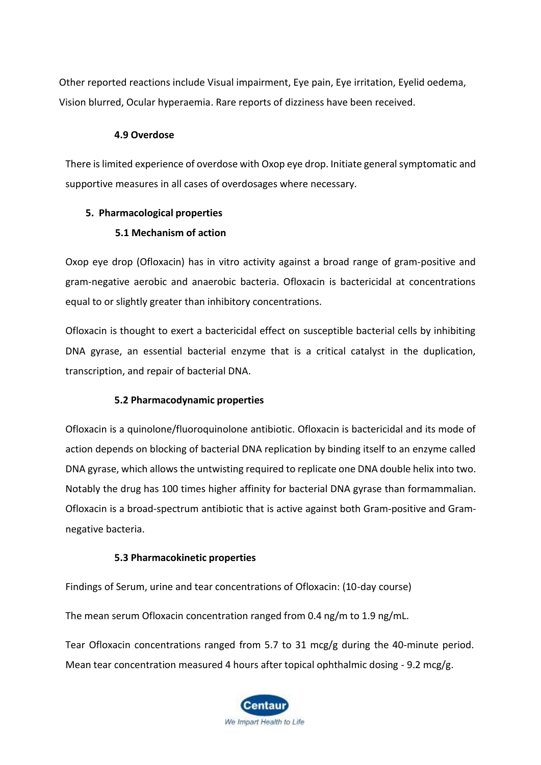Other reported reactions include Visual impairment, Eye pain, Eye irritation, Eyelid oedema, Vision blurred, Ocular hyperaemia. Rare reports of dizziness have been received.

### **4.9 Overdose**

There is limited experience of overdose with Oxop eye drop. Initiate general symptomatic and supportive measures in all cases of overdosages where necessary.

### **5. Pharmacological properties**

## **5.1 Mechanism of action**

Oxop eye drop (Ofloxacin) has in vitro activity against a broad range of gram-positive and gram-negative aerobic and anaerobic bacteria. Ofloxacin is bactericidal at concentrations equal to or slightly greater than inhibitory concentrations.

Ofloxacin is thought to exert a bactericidal effect on susceptible bacterial cells by inhibiting DNA gyrase, an essential bacterial enzyme that is a critical catalyst in the duplication, transcription, and repair of bacterial DNA.

### **5.2 Pharmacodynamic properties**

Ofloxacin is a quinolone/fluoroquinolone antibiotic. Ofloxacin is bactericidal and its mode of action depends on blocking of bacterial DNA replication by binding itself to an enzyme called DNA gyrase, which allows the untwisting required to replicate one DNA double helix into two. Notably the drug has 100 times higher affinity for bacterial DNA gyrase than formammalian. Ofloxacin is a broad-spectrum antibiotic that is active against both Gram-positive and Gramnegative bacteria.

### **5.3 Pharmacokinetic properties**

Findings of Serum, urine and tear concentrations of Ofloxacin: (10-day course)

The mean serum Ofloxacin concentration ranged from 0.4 ng/m to 1.9 ng/mL.

Tear Ofloxacin concentrations ranged from 5.7 to 31 mcg/g during the 40-minute period. Mean tear concentration measured 4 hours after topical ophthalmic dosing - 9.2 mcg/g.

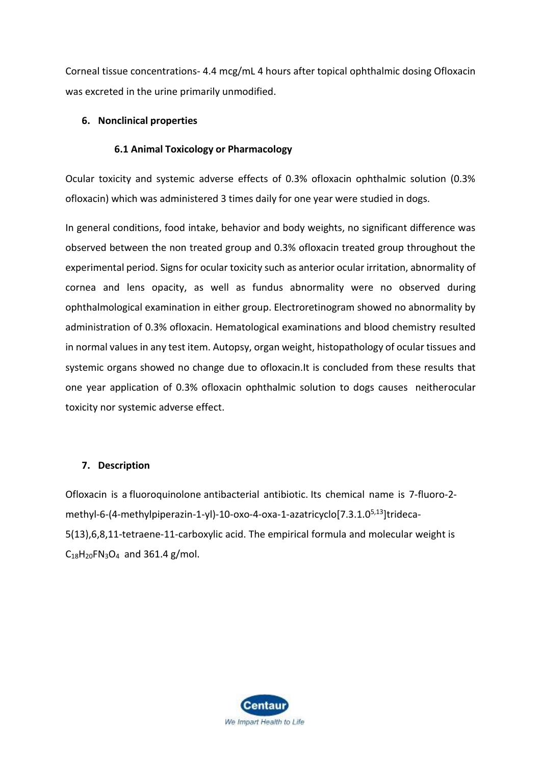Corneal tissue concentrations- 4.4 mcg/mL 4 hours after topical ophthalmic dosing Ofloxacin was excreted in the urine primarily unmodified.

### **6. Nonclinical properties**

### **6.1 Animal Toxicology or Pharmacology**

Ocular toxicity and systemic adverse effects of 0.3% ofloxacin ophthalmic solution (0.3% ofloxacin) which was administered 3 times daily for one year were studied in dogs.

In general conditions, food intake, behavior and body weights, no significant difference was observed between the non treated group and 0.3% ofloxacin treated group throughout the experimental period. Signs for ocular toxicity such as anterior ocular irritation, abnormality of cornea and lens opacity, as well as fundus abnormality were no observed during ophthalmological examination in either group. Electroretinogram showed no abnormality by administration of 0.3% ofloxacin. Hematological examinations and blood chemistry resulted in normal values in any test item. Autopsy, organ weight, histopathology of ocular tissues and systemic organs showed no change due to ofloxacin.It is concluded from these results that one year application of 0.3% ofloxacin ophthalmic solution to dogs causes neitherocular toxicity nor systemic adverse effect.

#### **7. Description**

Ofloxacin is a [fluoroquinolone](https://pubchem.ncbi.nlm.nih.gov/compound/fluoroquinolone) antibacterial antibiotic. Its chemical name is 7-fluoro-2 methyl-6-(4-methylpiperazin-1-yl)-10-oxo-4-oxa-1-azatricyclo[7.3.1.05,13]trideca-5(13),6,8,11-tetraene-11-carboxylic acid. The empirical formula and molecular weight is  $C_{18}H_{20}FN_{3}O_{4}$  $C_{18}H_{20}FN_{3}O_{4}$  $C_{18}H_{20}FN_{3}O_{4}$  and 361.4 g/mol.

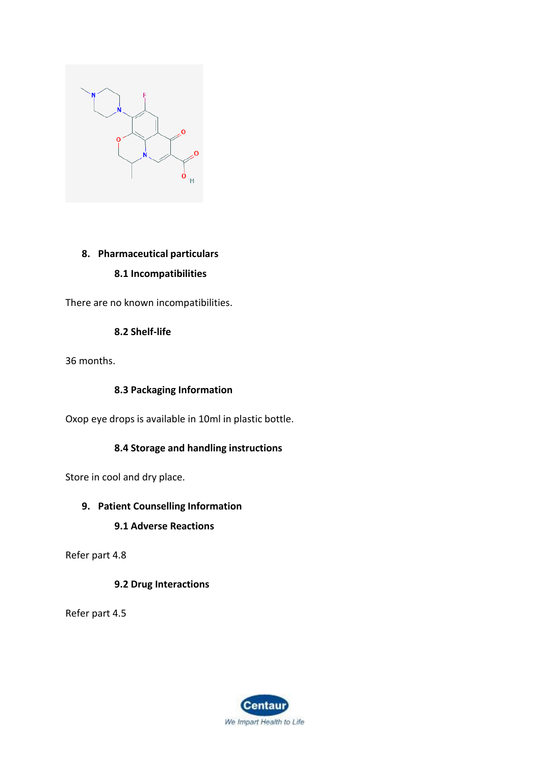

## **8. Pharmaceutical particulars 8.1 Incompatibilities**

There are no known incompatibilities.

## **8.2 Shelf-life**

36 months.

### **8.3 Packaging Information**

Oxop eye drops is available in 10ml in plastic bottle.

## **8.4 Storage and handling instructions**

Store in cool and dry place.

## **9. Patient Counselling Information**

### **9.1 Adverse Reactions**

Refer part 4.8

## **9.2 Drug Interactions**

Refer part 4.5